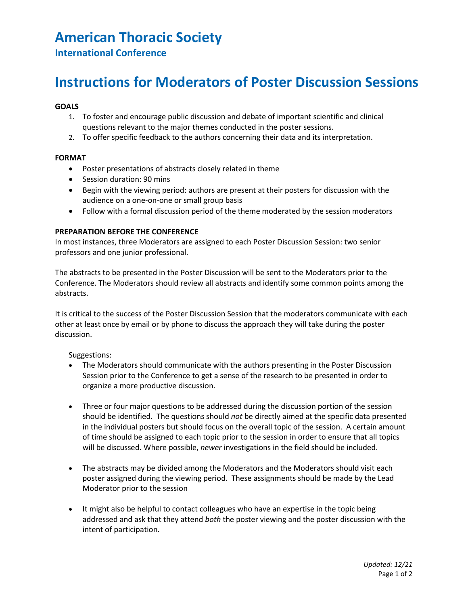## **American Thoracic Society**

**International Conference**

# **Instructions for Moderators of Poster Discussion Sessions**

#### **GOALS**

- 1. To foster and encourage public discussion and debate of important scientific and clinical questions relevant to the major themes conducted in the poster sessions.
- 2. To offer specific feedback to the authors concerning their data and its interpretation.

#### **FORMAT**

- Poster presentations of abstracts closely related in theme
- Session duration: 90 mins
- Begin with the viewing period: authors are present at their posters for discussion with the audience on a one-on-one or small group basis
- Follow with a formal discussion period of the theme moderated by the session moderators

#### **PREPARATION BEFORE THE CONFERENCE**

In most instances, three Moderators are assigned to each Poster Discussion Session: two senior professors and one junior professional.

The abstracts to be presented in the Poster Discussion will be sent to the Moderators prior to the Conference. The Moderators should review all abstracts and identify some common points among the abstracts.

It is critical to the success of the Poster Discussion Session that the moderators communicate with each other at least once by email or by phone to discuss the approach they will take during the poster discussion.

#### Suggestions:

- The Moderators should communicate with the authors presenting in the Poster Discussion Session prior to the Conference to get a sense of the research to be presented in order to organize a more productive discussion.
- Three or four major questions to be addressed during the discussion portion of the session should be identified. The questions should *not* be directly aimed at the specific data presented in the individual posters but should focus on the overall topic of the session. A certain amount of time should be assigned to each topic prior to the session in order to ensure that all topics will be discussed. Where possible, *newer* investigations in the field should be included.
- The abstracts may be divided among the Moderators and the Moderators should visit each poster assigned during the viewing period. These assignments should be made by the Lead Moderator prior to the session
- It might also be helpful to contact colleagues who have an expertise in the topic being addressed and ask that they attend *both* the poster viewing and the poster discussion with the intent of participation.